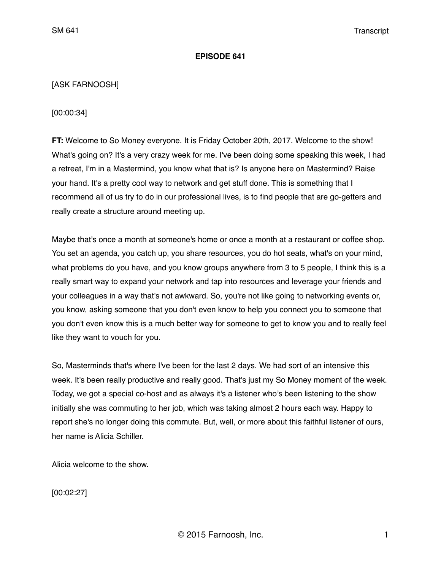## **EPISODE 641**

# [ASK FARNOOSH]

[00:00:34]

**FT:** Welcome to So Money everyone. It is Friday October 20th, 2017. Welcome to the show! What's going on? It's a very crazy week for me. I've been doing some speaking this week, I had a retreat, I'm in a Mastermind, you know what that is? Is anyone here on Mastermind? Raise your hand. It's a pretty cool way to network and get stuff done. This is something that I recommend all of us try to do in our professional lives, is to find people that are go-getters and really create a structure around meeting up.

Maybe that's once a month at someone's home or once a month at a restaurant or coffee shop. You set an agenda, you catch up, you share resources, you do hot seats, what's on your mind, what problems do you have, and you know groups anywhere from 3 to 5 people, I think this is a really smart way to expand your network and tap into resources and leverage your friends and your colleagues in a way that's not awkward. So, you're not like going to networking events or, you know, asking someone that you don't even know to help you connect you to someone that you don't even know this is a much better way for someone to get to know you and to really feel like they want to vouch for you.

So, Masterminds that's where I've been for the last 2 days. We had sort of an intensive this week. It's been really productive and really good. That's just my So Money moment of the week. Today, we got a special co-host and as always it's a listener who's been listening to the show initially she was commuting to her job, which was taking almost 2 hours each way. Happy to report she's no longer doing this commute. But, well, or more about this faithful listener of ours, her name is Alicia Schiller.

Alicia welcome to the show.

[00:02:27]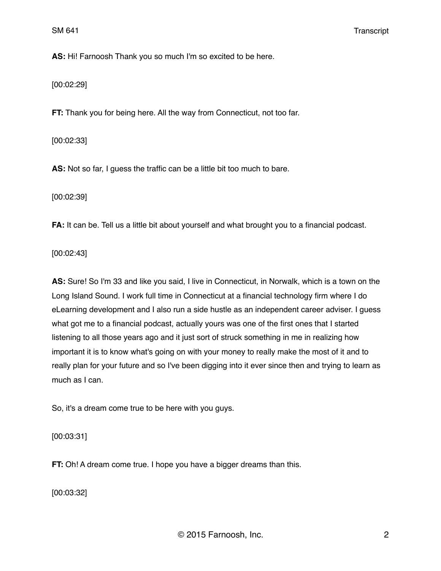**AS:** Hi! Farnoosh Thank you so much I'm so excited to be here.

[00:02:29]

**FT:** Thank you for being here. All the way from Connecticut, not too far.

[00:02:33]

**AS:** Not so far, I guess the traffic can be a little bit too much to bare.

[00:02:39]

**FA:** It can be. Tell us a little bit about yourself and what brought you to a financial podcast.

[00:02:43]

**AS:** Sure! So I'm 33 and like you said, I live in Connecticut, in Norwalk, which is a town on the Long Island Sound. I work full time in Connecticut at a financial technology firm where I do eLearning development and I also run a side hustle as an independent career adviser. I guess what got me to a financial podcast, actually yours was one of the first ones that I started listening to all those years ago and it just sort of struck something in me in realizing how important it is to know what's going on with your money to really make the most of it and to really plan for your future and so I've been digging into it ever since then and trying to learn as much as I can.

So, it's a dream come true to be here with you guys.

[00:03:31]

**FT:** Oh! A dream come true. I hope you have a bigger dreams than this.

[00:03:32]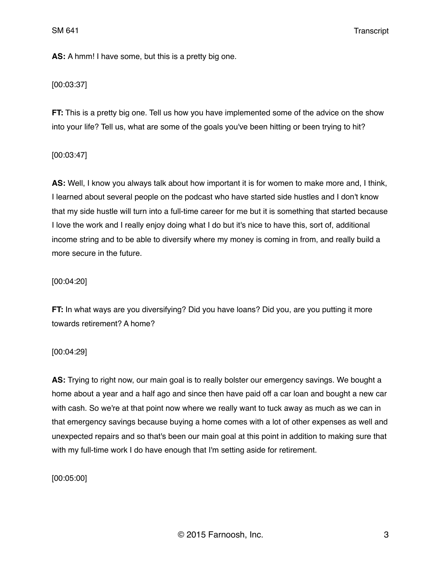**AS:** A hmm! I have some, but this is a pretty big one.

# [00:03:37]

**FT:** This is a pretty big one. Tell us how you have implemented some of the advice on the show into your life? Tell us, what are some of the goals you've been hitting or been trying to hit?

# [00:03:47]

**AS:** Well, I know you always talk about how important it is for women to make more and, I think, I learned about several people on the podcast who have started side hustles and I don't know that my side hustle will turn into a full-time career for me but it is something that started because I love the work and I really enjoy doing what I do but it's nice to have this, sort of, additional income string and to be able to diversify where my money is coming in from, and really build a more secure in the future.

# [00:04:20]

**FT:** In what ways are you diversifying? Did you have loans? Did you, are you putting it more towards retirement? A home?

[00:04:29]

**AS:** Trying to right now, our main goal is to really bolster our emergency savings. We bought a home about a year and a half ago and since then have paid off a car loan and bought a new car with cash. So we're at that point now where we really want to tuck away as much as we can in that emergency savings because buying a home comes with a lot of other expenses as well and unexpected repairs and so that's been our main goal at this point in addition to making sure that with my full-time work I do have enough that I'm setting aside for retirement.

[00:05:00]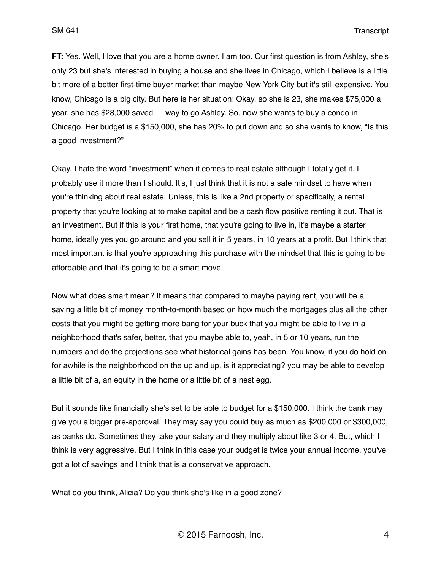**FT:** Yes. Well, I love that you are a home owner. I am too. Our first question is from Ashley, she's only 23 but she's interested in buying a house and she lives in Chicago, which I believe is a little bit more of a better first-time buyer market than maybe New York City but it's still expensive. You know, Chicago is a big city. But here is her situation: Okay, so she is 23, she makes \$75,000 a year, she has \$28,000 saved — way to go Ashley. So, now she wants to buy a condo in Chicago. Her budget is a \$150,000, she has 20% to put down and so she wants to know, "Is this a good investment?"

Okay, I hate the word "investment" when it comes to real estate although I totally get it. I probably use it more than I should. It's, I just think that it is not a safe mindset to have when you're thinking about real estate. Unless, this is like a 2nd property or specifically, a rental property that you're looking at to make capital and be a cash flow positive renting it out. That is an investment. But if this is your first home, that you're going to live in, it's maybe a starter home, ideally yes you go around and you sell it in 5 years, in 10 years at a profit. But I think that most important is that you're approaching this purchase with the mindset that this is going to be affordable and that it's going to be a smart move.

Now what does smart mean? It means that compared to maybe paying rent, you will be a saving a little bit of money month-to-month based on how much the mortgages plus all the other costs that you might be getting more bang for your buck that you might be able to live in a neighborhood that's safer, better, that you maybe able to, yeah, in 5 or 10 years, run the numbers and do the projections see what historical gains has been. You know, if you do hold on for awhile is the neighborhood on the up and up, is it appreciating? you may be able to develop a little bit of a, an equity in the home or a little bit of a nest egg.

But it sounds like financially she's set to be able to budget for a \$150,000. I think the bank may give you a bigger pre-approval. They may say you could buy as much as \$200,000 or \$300,000, as banks do. Sometimes they take your salary and they multiply about like 3 or 4. But, which I think is very aggressive. But I think in this case your budget is twice your annual income, you've got a lot of savings and I think that is a conservative approach.

What do you think, Alicia? Do you think she's like in a good zone?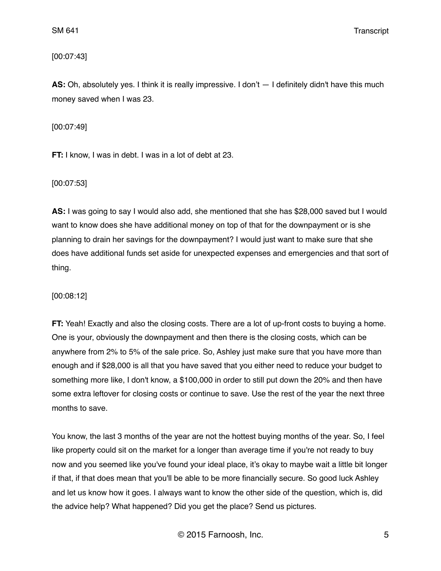[00:07:43]

**AS:** Oh, absolutely yes. I think it is really impressive. I don't — I definitely didn't have this much money saved when I was 23.

[00:07:49]

**FT:** I know, I was in debt. I was in a lot of debt at 23.

[00:07:53]

**AS:** I was going to say I would also add, she mentioned that she has \$28,000 saved but I would want to know does she have additional money on top of that for the downpayment or is she planning to drain her savings for the downpayment? I would just want to make sure that she does have additional funds set aside for unexpected expenses and emergencies and that sort of thing.

[00:08:12]

**FT:** Yeah! Exactly and also the closing costs. There are a lot of up-front costs to buying a home. One is your, obviously the downpayment and then there is the closing costs, which can be anywhere from 2% to 5% of the sale price. So, Ashley just make sure that you have more than enough and if \$28,000 is all that you have saved that you either need to reduce your budget to something more like, I don't know, a \$100,000 in order to still put down the 20% and then have some extra leftover for closing costs or continue to save. Use the rest of the year the next three months to save.

You know, the last 3 months of the year are not the hottest buying months of the year. So, I feel like property could sit on the market for a longer than average time if you're not ready to buy now and you seemed like you've found your ideal place, it's okay to maybe wait a little bit longer if that, if that does mean that you'll be able to be more financially secure. So good luck Ashley and let us know how it goes. I always want to know the other side of the question, which is, did the advice help? What happened? Did you get the place? Send us pictures.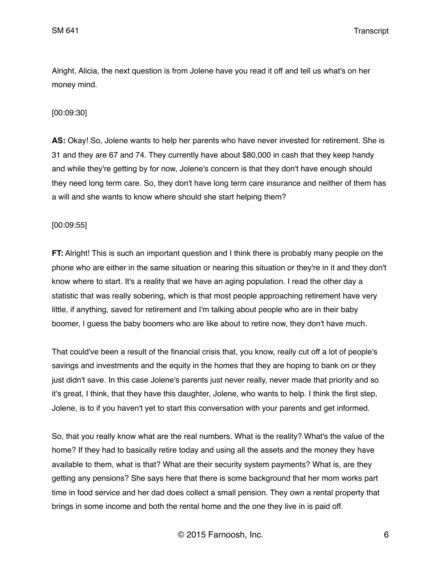Alright, Alicia, the next question is from Jolene have you read it off and tell us what's on her money mind.

## [00:09:30]

**AS:** Okay! So, Jolene wants to help her parents who have never invested for retirement. She is 31 and they are 67 and 74. They currently have about \$80,000 in cash that they keep handy and while they're getting by for now, Jolene's concern is that they don't have enough should they need long term care. So, they don't have long term care insurance and neither of them has a will and she wants to know where should she start helping them?

### [00:09:55]

**FT:** Alright! This is such an important question and I think there is probably many people on the phone who are either in the same situation or nearing this situation or they're in it and they don't know where to start. It's a reality that we have an aging population. I read the other day a statistic that was really sobering, which is that most people approaching retirement have very little, if anything, saved for retirement and I'm talking about people who are in their baby boomer, I guess the baby boomers who are like about to retire now, they don't have much.

That could've been a result of the financial crisis that, you know, really cut off a lot of people's savings and investments and the equity in the homes that they are hoping to bank on or they just didn't save. In this case Jolene's parents just never really, never made that priority and so it's great, I think, that they have this daughter, Jolene, who wants to help. I think the first step, Jolene, is to if you haven't yet to start this conversation with your parents and get informed.

So, that you really know what are the real numbers. What is the reality? What's the value of the home? If they had to basically retire today and using all the assets and the money they have available to them, what is that? What are their security system payments? What is, are they getting any pensions? She says here that there is some background that her mom works part time in food service and her dad does collect a small pension. They own a rental property that brings in some income and both the rental home and the one they live in is paid off.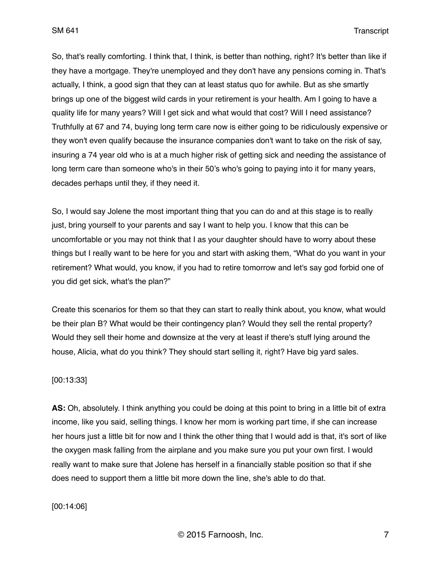So, that's really comforting. I think that, I think, is better than nothing, right? It's better than like if they have a mortgage. They're unemployed and they don't have any pensions coming in. That's actually, I think, a good sign that they can at least status quo for awhile. But as she smartly brings up one of the biggest wild cards in your retirement is your health. Am I going to have a quality life for many years? Will I get sick and what would that cost? Will I need assistance? Truthfully at 67 and 74, buying long term care now is either going to be ridiculously expensive or they won't even qualify because the insurance companies don't want to take on the risk of say, insuring a 74 year old who is at a much higher risk of getting sick and needing the assistance of long term care than someone who's in their 50's who's going to paying into it for many years, decades perhaps until they, if they need it.

So, I would say Jolene the most important thing that you can do and at this stage is to really just, bring yourself to your parents and say I want to help you. I know that this can be uncomfortable or you may not think that I as your daughter should have to worry about these things but I really want to be here for you and start with asking them, "What do you want in your retirement? What would, you know, if you had to retire tomorrow and let's say god forbid one of you did get sick, what's the plan?"

Create this scenarios for them so that they can start to really think about, you know, what would be their plan B? What would be their contingency plan? Would they sell the rental property? Would they sell their home and downsize at the very at least if there's stuff lying around the house, Alicia, what do you think? They should start selling it, right? Have big yard sales.

### [00:13:33]

**AS:** Oh, absolutely. I think anything you could be doing at this point to bring in a little bit of extra income, like you said, selling things. I know her mom is working part time, if she can increase her hours just a little bit for now and I think the other thing that I would add is that, it's sort of like the oxygen mask falling from the airplane and you make sure you put your own first. I would really want to make sure that Jolene has herself in a financially stable position so that if she does need to support them a little bit more down the line, she's able to do that.

[00:14:06]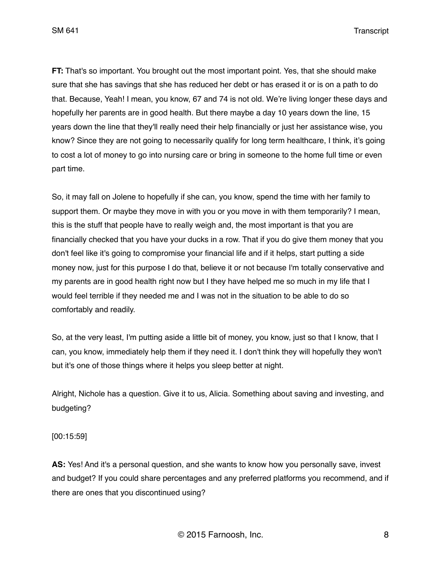**FT:** That's so important. You brought out the most important point. Yes, that she should make sure that she has savings that she has reduced her debt or has erased it or is on a path to do that. Because, Yeah! I mean, you know, 67 and 74 is not old. We're living longer these days and hopefully her parents are in good health. But there maybe a day 10 years down the line, 15 years down the line that they'll really need their help financially or just her assistance wise, you know? Since they are not going to necessarily qualify for long term healthcare, I think, it's going to cost a lot of money to go into nursing care or bring in someone to the home full time or even part time.

So, it may fall on Jolene to hopefully if she can, you know, spend the time with her family to support them. Or maybe they move in with you or you move in with them temporarily? I mean, this is the stuff that people have to really weigh and, the most important is that you are financially checked that you have your ducks in a row. That if you do give them money that you don't feel like it's going to compromise your financial life and if it helps, start putting a side money now, just for this purpose I do that, believe it or not because I'm totally conservative and my parents are in good health right now but I they have helped me so much in my life that I would feel terrible if they needed me and I was not in the situation to be able to do so comfortably and readily.

So, at the very least, I'm putting aside a little bit of money, you know, just so that I know, that I can, you know, immediately help them if they need it. I don't think they will hopefully they won't but it's one of those things where it helps you sleep better at night.

Alright, Nichole has a question. Give it to us, Alicia. Something about saving and investing, and budgeting?

[00:15:59]

**AS:** Yes! And it's a personal question, and she wants to know how you personally save, invest and budget? If you could share percentages and any preferred platforms you recommend, and if there are ones that you discontinued using?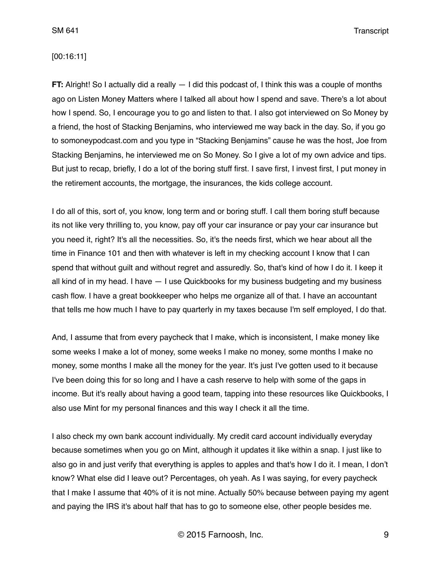### [00:16:11]

**FT:** Alright! So I actually did a really  $-1$  did this podcast of, I think this was a couple of months ago on Listen Money Matters where I talked all about how I spend and save. There's a lot about how I spend. So, I encourage you to go and listen to that. I also got interviewed on So Money by a friend, the host of Stacking Benjamins, who interviewed me way back in the day. So, if you go to somoneypodcast.com and you type in "Stacking Benjamins" cause he was the host, Joe from Stacking Benjamins, he interviewed me on So Money. So I give a lot of my own advice and tips. But just to recap, briefly, I do a lot of the boring stuff first. I save first, I invest first, I put money in the retirement accounts, the mortgage, the insurances, the kids college account.

I do all of this, sort of, you know, long term and or boring stuff. I call them boring stuff because its not like very thrilling to, you know, pay off your car insurance or pay your car insurance but you need it, right? It's all the necessities. So, it's the needs first, which we hear about all the time in Finance 101 and then with whatever is left in my checking account I know that I can spend that without guilt and without regret and assuredly. So, that's kind of how I do it. I keep it all kind of in my head. I have — I use Quickbooks for my business budgeting and my business cash flow. I have a great bookkeeper who helps me organize all of that. I have an accountant that tells me how much I have to pay quarterly in my taxes because I'm self employed, I do that.

And, I assume that from every paycheck that I make, which is inconsistent, I make money like some weeks I make a lot of money, some weeks I make no money, some months I make no money, some months I make all the money for the year. It's just I've gotten used to it because I've been doing this for so long and I have a cash reserve to help with some of the gaps in income. But it's really about having a good team, tapping into these resources like Quickbooks, I also use Mint for my personal finances and this way I check it all the time.

I also check my own bank account individually. My credit card account individually everyday because sometimes when you go on Mint, although it updates it like within a snap. I just like to also go in and just verify that everything is apples to apples and that's how I do it. I mean, I don't know? What else did I leave out? Percentages, oh yeah. As I was saying, for every paycheck that I make I assume that 40% of it is not mine. Actually 50% because between paying my agent and paying the IRS it's about half that has to go to someone else, other people besides me.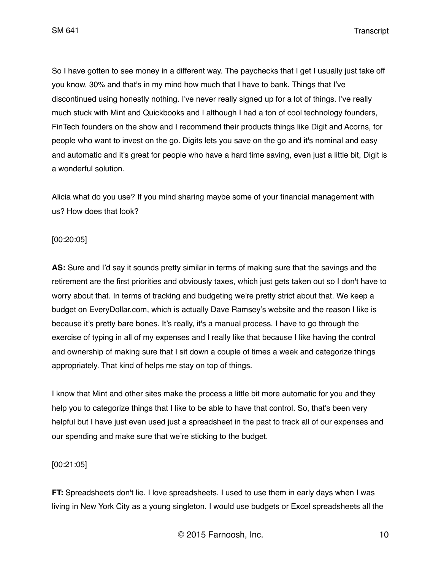So I have gotten to see money in a different way. The paychecks that I get I usually just take off you know, 30% and that's in my mind how much that I have to bank. Things that I've discontinued using honestly nothing. I've never really signed up for a lot of things. I've really much stuck with Mint and Quickbooks and I although I had a ton of cool technology founders, FinTech founders on the show and I recommend their products things like Digit and Acorns, for people who want to invest on the go. Digits lets you save on the go and it's nominal and easy and automatic and it's great for people who have a hard time saving, even just a little bit, Digit is a wonderful solution.

Alicia what do you use? If you mind sharing maybe some of your financial management with us? How does that look?

### [00:20:05]

**AS:** Sure and I'd say it sounds pretty similar in terms of making sure that the savings and the retirement are the first priorities and obviously taxes, which just gets taken out so I don't have to worry about that. In terms of tracking and budgeting we're pretty strict about that. We keep a budget on EveryDollar.com, which is actually Dave Ramsey's website and the reason I like is because it's pretty bare bones. It's really, it's a manual process. I have to go through the exercise of typing in all of my expenses and I really like that because I like having the control and ownership of making sure that I sit down a couple of times a week and categorize things appropriately. That kind of helps me stay on top of things.

I know that Mint and other sites make the process a little bit more automatic for you and they help you to categorize things that I like to be able to have that control. So, that's been very helpful but I have just even used just a spreadsheet in the past to track all of our expenses and our spending and make sure that we're sticking to the budget.

### [00:21:05]

**FT:** Spreadsheets don't lie. I love spreadsheets. I used to use them in early days when I was living in New York City as a young singleton. I would use budgets or Excel spreadsheets all the

© 2015 Farnoosh, Inc. 10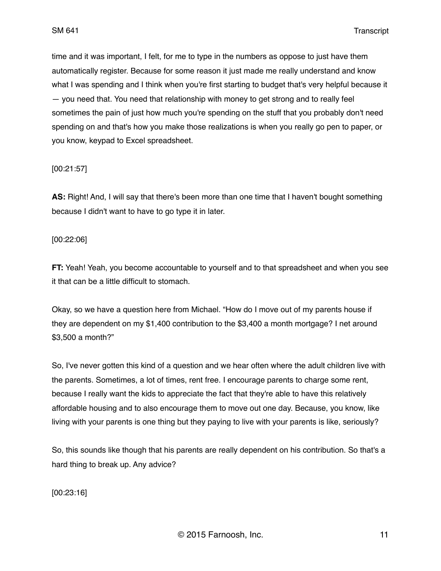time and it was important, I felt, for me to type in the numbers as oppose to just have them automatically register. Because for some reason it just made me really understand and know what I was spending and I think when you're first starting to budget that's very helpful because it — you need that. You need that relationship with money to get strong and to really feel sometimes the pain of just how much you're spending on the stuff that you probably don't need spending on and that's how you make those realizations is when you really go pen to paper, or you know, keypad to Excel spreadsheet.

## [00:21:57]

**AS:** Right! And, I will say that there's been more than one time that I haven't bought something because I didn't want to have to go type it in later.

### [00:22:06]

**FT:** Yeah! Yeah, you become accountable to yourself and to that spreadsheet and when you see it that can be a little difficult to stomach.

Okay, so we have a question here from Michael. "How do I move out of my parents house if they are dependent on my \$1,400 contribution to the \$3,400 a month mortgage? I net around \$3,500 a month?"

So, I've never gotten this kind of a question and we hear often where the adult children live with the parents. Sometimes, a lot of times, rent free. I encourage parents to charge some rent, because I really want the kids to appreciate the fact that they're able to have this relatively affordable housing and to also encourage them to move out one day. Because, you know, like living with your parents is one thing but they paying to live with your parents is like, seriously?

So, this sounds like though that his parents are really dependent on his contribution. So that's a hard thing to break up. Any advice?

[00:23:16]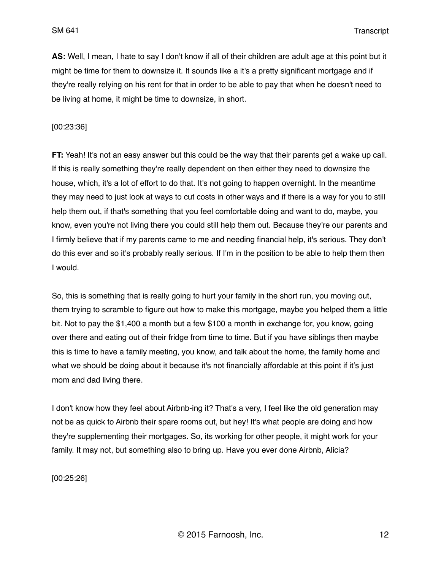**AS:** Well, I mean, I hate to say I don't know if all of their children are adult age at this point but it might be time for them to downsize it. It sounds like a it's a pretty significant mortgage and if they're really relying on his rent for that in order to be able to pay that when he doesn't need to be living at home, it might be time to downsize, in short.

[00:23:36]

**FT:** Yeah! It's not an easy answer but this could be the way that their parents get a wake up call. If this is really something they're really dependent on then either they need to downsize the house, which, it's a lot of effort to do that. It's not going to happen overnight. In the meantime they may need to just look at ways to cut costs in other ways and if there is a way for you to still help them out, if that's something that you feel comfortable doing and want to do, maybe, you know, even you're not living there you could still help them out. Because they're our parents and I firmly believe that if my parents came to me and needing financial help, it's serious. They don't do this ever and so it's probably really serious. If I'm in the position to be able to help them then I would.

So, this is something that is really going to hurt your family in the short run, you moving out, them trying to scramble to figure out how to make this mortgage, maybe you helped them a little bit. Not to pay the \$1,400 a month but a few \$100 a month in exchange for, you know, going over there and eating out of their fridge from time to time. But if you have siblings then maybe this is time to have a family meeting, you know, and talk about the home, the family home and what we should be doing about it because it's not financially affordable at this point if it's just mom and dad living there.

I don't know how they feel about Airbnb-ing it? That's a very, I feel like the old generation may not be as quick to Airbnb their spare rooms out, but hey! It's what people are doing and how they're supplementing their mortgages. So, its working for other people, it might work for your family. It may not, but something also to bring up. Have you ever done Airbnb, Alicia?

[00:25:26]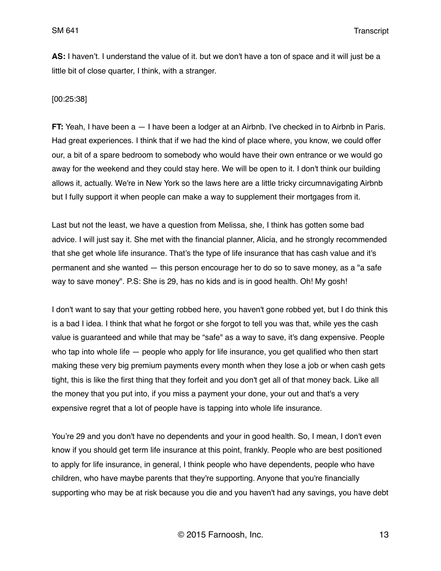**AS:** I haven't. I understand the value of it. but we don't have a ton of space and it will just be a little bit of close quarter, I think, with a stranger.

[00:25:38]

**FT:** Yeah, I have been a — I have been a lodger at an Airbnb. I've checked in to Airbnb in Paris. Had great experiences. I think that if we had the kind of place where, you know, we could offer our, a bit of a spare bedroom to somebody who would have their own entrance or we would go away for the weekend and they could stay here. We will be open to it. I don't think our building allows it, actually. We're in New York so the laws here are a little tricky circumnavigating Airbnb but I fully support it when people can make a way to supplement their mortgages from it.

Last but not the least, we have a question from Melissa, she, I think has gotten some bad advice. I will just say it. She met with the financial planner, Alicia, and he strongly recommended that she get whole life insurance. That's the type of life insurance that has cash value and it's permanent and she wanted — this person encourage her to do so to save money, as a "a safe way to save money". P.S: She is 29, has no kids and is in good health. Oh! My gosh!

I don't want to say that your getting robbed here, you haven't gone robbed yet, but I do think this is a bad I idea. I think that what he forgot or she forgot to tell you was that, while yes the cash value is guaranteed and while that may be "safe" as a way to save, it's dang expensive. People who tap into whole life — people who apply for life insurance, you get qualified who then start making these very big premium payments every month when they lose a job or when cash gets tight, this is like the first thing that they forfeit and you don't get all of that money back. Like all the money that you put into, if you miss a payment your done, your out and that's a very expensive regret that a lot of people have is tapping into whole life insurance.

You're 29 and you don't have no dependents and your in good health. So, I mean, I don't even know if you should get term life insurance at this point, frankly. People who are best positioned to apply for life insurance, in general, I think people who have dependents, people who have children, who have maybe parents that they're supporting. Anyone that you're financially supporting who may be at risk because you die and you haven't had any savings, you have debt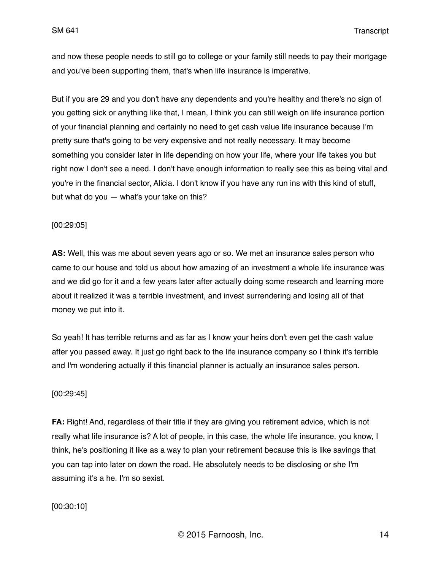and now these people needs to still go to college or your family still needs to pay their mortgage and you've been supporting them, that's when life insurance is imperative.

But if you are 29 and you don't have any dependents and you're healthy and there's no sign of you getting sick or anything like that, I mean, I think you can still weigh on life insurance portion of your financial planning and certainly no need to get cash value life insurance because I'm pretty sure that's going to be very expensive and not really necessary. It may become something you consider later in life depending on how your life, where your life takes you but right now I don't see a need. I don't have enough information to really see this as being vital and you're in the financial sector, Alicia. I don't know if you have any run ins with this kind of stuff, but what do you — what's your take on this?

#### [00:29:05]

**AS:** Well, this was me about seven years ago or so. We met an insurance sales person who came to our house and told us about how amazing of an investment a whole life insurance was and we did go for it and a few years later after actually doing some research and learning more about it realized it was a terrible investment, and invest surrendering and losing all of that money we put into it.

So yeah! It has terrible returns and as far as I know your heirs don't even get the cash value after you passed away. It just go right back to the life insurance company so I think it's terrible and I'm wondering actually if this financial planner is actually an insurance sales person.

#### [00:29:45]

**FA:** Right! And, regardless of their title if they are giving you retirement advice, which is not really what life insurance is? A lot of people, in this case, the whole life insurance, you know, I think, he's positioning it like as a way to plan your retirement because this is like savings that you can tap into later on down the road. He absolutely needs to be disclosing or she I'm assuming it's a he. I'm so sexist.

[00:30:10]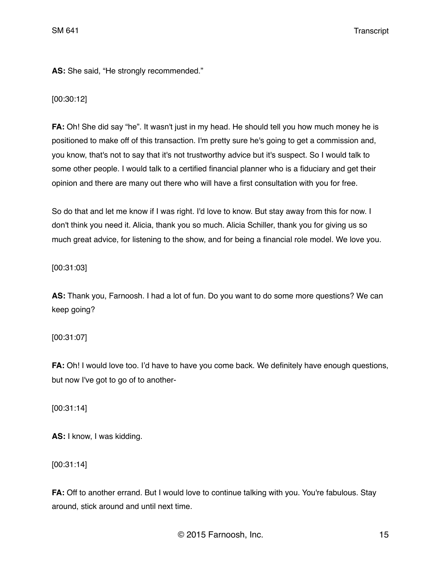AS: She said, "He strongly recommended."

[00:30:12]

**FA:** Oh! She did say "he". It wasn't just in my head. He should tell you how much money he is positioned to make off of this transaction. I'm pretty sure he's going to get a commission and, you know, that's not to say that it's not trustworthy advice but it's suspect. So I would talk to some other people. I would talk to a certified financial planner who is a fiduciary and get their opinion and there are many out there who will have a first consultation with you for free.

So do that and let me know if I was right. I'd love to know. But stay away from this for now. I don't think you need it. Alicia, thank you so much. Alicia Schiller, thank you for giving us so much great advice, for listening to the show, and for being a financial role model. We love you.

[00:31:03]

**AS:** Thank you, Farnoosh. I had a lot of fun. Do you want to do some more questions? We can keep going?

[00:31:07]

**FA:** Oh! I would love too. I'd have to have you come back. We definitely have enough questions, but now I've got to go of to another-

[00:31:14]

**AS:** I know, I was kidding.

[00:31:14]

**FA:** Off to another errand. But I would love to continue talking with you. You're fabulous. Stay around, stick around and until next time.

© 2015 Farnoosh, Inc. 15